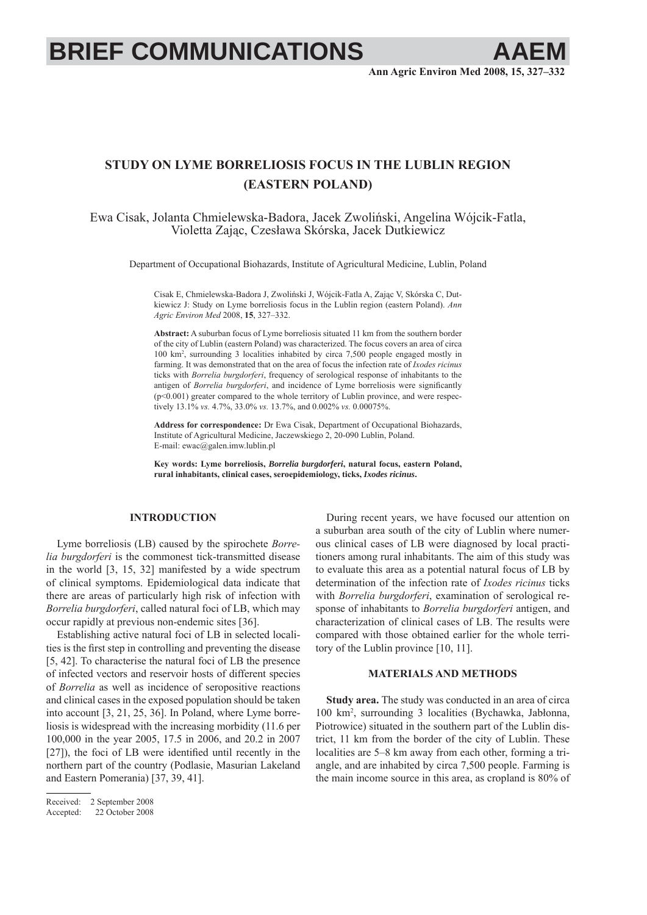# **BRIEF COMMUNICATIONS**

# **STUDY ON LYME BORRELIOSIS FOCUS IN THE LUBLIN REGION (EASTERN POLAND)**

Ewa Cisak, Jolanta Chmielewska-Badora, Jacek Zwoliński, Angelina Wójcik-Fatla, Violetta Zając, Czesława Skórska, Jacek Dutkiewicz

Department of Occupational Biohazards, Institute of Agricultural Medicine, Lublin, Poland

Cisak E, Chmielewska-Badora J, Zwoliński J, Wójcik-Fatla A, Zając V, Skórska C, Dutkiewicz J: Study on Lyme borreliosis focus in the Lublin region (eastern Poland). *Ann Agric Environ Med* 2008, **15**, 327–332.

**Abstract:** A suburban focus of Lyme borreliosis situated 11 km from the southern border of the city of Lublin (eastern Poland) was characterized. The focus covers an area of circa 100 km2 , surrounding 3 localities inhabited by circa 7,500 people engaged mostly in farming. It was demonstrated that on the area of focus the infection rate of *Ixodes ricinus* ticks with *Borrelia burgdorferi*, frequency of serological response of inhabitants to the antigen of *Borrelia burgdorferi*, and incidence of Lyme borreliosis were significantly (p<0.001) greater compared to the whole territory of Lublin province, and were respectively 13.1% *vs.* 4.7%, 33.0% *vs.* 13.7%, and 0.002% *vs.* 0.00075%.

**Address for correspondence:** Dr Ewa Cisak, Department of Occupational Biohazards, Institute of Agricultural Medicine, Jaczewskiego 2, 20-090 Lublin, Poland. E-mail: ewac@galen.imw.lublin.pl

**Key words: Lyme borreliosis,** *Borrelia burgdorferi***, natural focus, eastern Poland, rural inhabitants, clinical cases, seroepidemiology, ticks,** *Ixodes ricinus***.**

## **INTRODUCTION**

Lyme borreliosis (LB) caused by the spirochete *Borrelia burgdorferi* is the commonest tick-transmitted disease in the world [3, 15, 32] manifested by a wide spectrum of clinical symptoms. Epidemiological data indicate that there are areas of particularly high risk of infection with *Borrelia burgdorferi*, called natural foci of LB, which may occur rapidly at previous non-endemic sites [36].

Establishing active natural foci of LB in selected localities is the first step in controlling and preventing the disease [5, 42]. To characterise the natural foci of LB the presence of infected vectors and reservoir hosts of different species of *Borrelia* as well as incidence of seropositive reactions and clinical cases in the exposed population should be taken into account [3, 21, 25, 36]. In Poland, where Lyme borreliosis is widespread with the increasing morbidity (11.6 per 100,000 in the year 2005, 17.5 in 2006, and 20.2 in 2007  $[27]$ ), the foci of LB were identified until recently in the northern part of the country (Podlasie, Masurian Lakeland and Eastern Pomerania) [37, 39, 41].

During recent years, we have focused our attention on a suburban area south of the city of Lublin where numerous clinical cases of LB were diagnosed by local practitioners among rural inhabitants. The aim of this study was to evaluate this area as a potential natural focus of LB by determination of the infection rate of *Ixodes ricinus* ticks with *Borrelia burgdorferi*, examination of serological response of inhabitants to *Borrelia burgdorferi* antigen, and characterization of clinical cases of LB. The results were compared with those obtained earlier for the whole territory of the Lublin province [10, 11].

### **MATERIALS AND METHODS**

**Study area.** The study was conducted in an area of circa 100 km2 , surrounding 3 localities (Bychawka, Jabłonna, Piotrowice) situated in the southern part of the Lublin district, 11 km from the border of the city of Lublin. These localities are 5–8 km away from each other, forming a triangle, and are inhabited by circa 7,500 people. Farming is the main income source in this area, as cropland is 80% of

Received: 2 September 2008

Accepted: 22 October 2008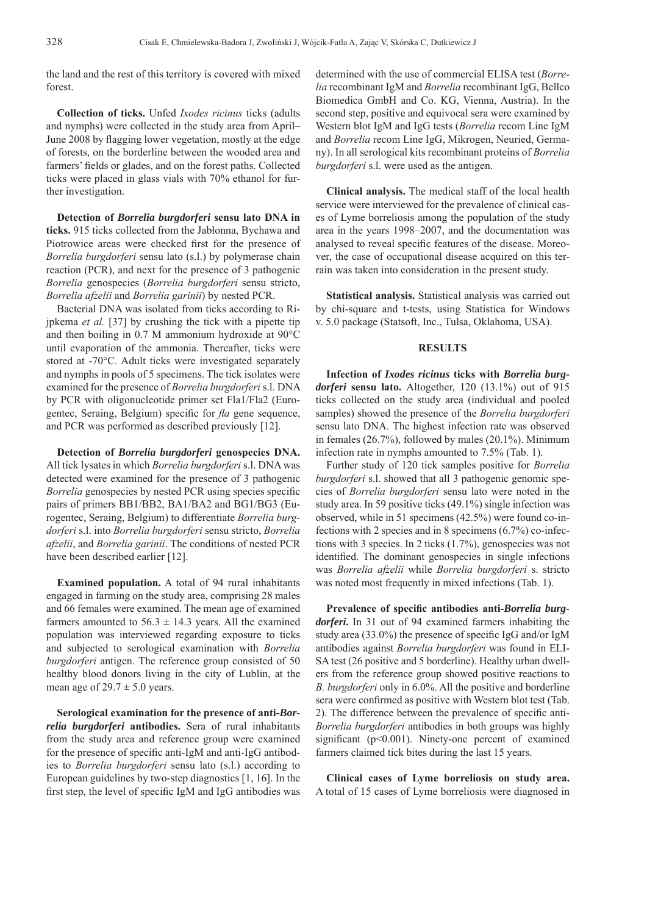the land and the rest of this territory is covered with mixed forest.

**Collection of ticks.** Unfed *Ixodes ricinus* ticks (adults and nymphs) were collected in the study area from April– June 2008 by flagging lower vegetation, mostly at the edge of forests, on the borderline between the wooded area and farmers' fields or glades, and on the forest paths. Collected ticks were placed in glass vials with 70% ethanol for further investigation.

**Detection of** *Borrelia burgdorferi* **sensu lato DNA in ticks.** 915 ticks collected from the Jabłonna, Bychawa and Piotrowice areas were checked first for the presence of *Borrelia burgdorferi* sensu lato (s.l.) by polymerase chain reaction (PCR), and next for the presence of 3 pathogenic *Borrelia* genospecies (*Borrelia burgdorferi* sensu stricto, *Borrelia afzelii* and *Borrelia garinii*) by nested PCR.

Bacterial DNA was isolated from ticks according to Rijpkema *et al.* [37] by crushing the tick with a pipette tip and then boiling in 0.7 M ammonium hydroxide at 90°C until evaporation of the ammonia. Thereafter, ticks were stored at -70°C. Adult ticks were investigated separately and nymphs in pools of 5 specimens. The tick isolates were examined for the presence of *Borrelia burgdorferi* s.l. DNA by PCR with oligonucleotide primer set Fla1/Fla2 (Eurogentec, Seraing, Belgium) specific for *fla* gene sequence, and PCR was performed as described previously [12].

**Detection of** *Borrelia burgdorferi* **genospecies DNA.** All tick lysates in which *Borrelia burgdorferi* s.l. DNA was detected were examined for the presence of 3 pathogenic *Borrelia* genospecies by nested PCR using species specific pairs of primers BB1/BB2, BA1/BA2 and BG1/BG3 (Eurogentec, Seraing, Belgium) to differentiate *Borrelia burgdorferi* s.l. into *Borrelia burgdorferi* sensu stricto, *Borrelia afzelii*, and *Borrelia garinii*. The conditions of nested PCR have been described earlier [12].

**Examined population.** A total of 94 rural inhabitants engaged in farming on the study area, comprising 28 males and 66 females were examined. The mean age of examined farmers amounted to  $56.3 \pm 14.3$  years. All the examined population was interviewed regarding exposure to ticks and subjected to serological examination with *Borrelia burgdorferi* antigen. The reference group consisted of 50 healthy blood donors living in the city of Lublin, at the mean age of  $29.7 \pm 5.0$  years.

**Serological examination for the presence of anti-***Borrelia burgdorferi* **antibodies.** Sera of rural inhabitants from the study area and reference group were examined for the presence of specific anti-IgM and anti-IgG antibodies to *Borrelia burgdorferi* sensu lato (s.l.) according to European guidelines by two-step diagnostics [1, 16]. In the first step, the level of specific IgM and IgG antibodies was determined with the use of commercial ELISA test (*Borrelia* recombinant IgM and *Borrelia* recombinant IgG, Bellco Biomedica GmbH and Co. KG, Vienna, Austria). In the second step, positive and equivocal sera were examined by Western blot IgM and IgG tests (*Borrelia* recom Line IgM and *Borrelia* recom Line IgG, Mikrogen, Neuried, Germany). In all serological kits recombinant proteins of *Borrelia burgdorferi* s.l. were used as the antigen.

**Clinical analysis.** The medical staff of the local health service were interviewed for the prevalence of clinical cases of Lyme borreliosis among the population of the study area in the years 1998–2007, and the documentation was analysed to reveal specific features of the disease. Moreover, the case of occupational disease acquired on this terrain was taken into consideration in the present study.

**Statistical analysis.** Statistical analysis was carried out by chi-square and t-tests, using Statistica for Windows v. 5.0 package (Statsoft, Inc., Tulsa, Oklahoma, USA).

#### **RESULTS**

**Infection of** *Ixodes ricinus* **ticks with** *Borrelia burgdorferi* **sensu lato.** Altogether, 120 (13.1%) out of 915 ticks collected on the study area (individual and pooled samples) showed the presence of the *Borrelia burgdorferi* sensu lato DNA. The highest infection rate was observed in females (26.7%), followed by males (20.1%). Minimum infection rate in nymphs amounted to 7.5% (Tab. 1).

Further study of 120 tick samples positive for *Borrelia burgdorferi* s.l. showed that all 3 pathogenic genomic species of *Borrelia burgdorferi* sensu lato were noted in the study area. In 59 positive ticks (49.1%) single infection was observed, while in 51 specimens (42.5%) were found co-infections with 2 species and in 8 specimens (6.7%) co-infections with 3 species. In 2 ticks (1.7%), genospecies was not identified. The dominant genospecies in single infections was *Borrelia afzelii* while *Borrelia burgdorferi* s. stricto was noted most frequently in mixed infections (Tab. 1).

Prevalence of specific antibodies anti-*Borrelia burgdorferi***.** In 31 out of 94 examined farmers inhabiting the study area (33.0%) the presence of specific IgG and/or IgM antibodies against *Borrelia burgdorferi* was found in ELI-SA test (26 positive and 5 borderline). Healthy urban dwellers from the reference group showed positive reactions to *B. burgdorferi* only in 6.0%. All the positive and borderline sera were confirmed as positive with Western blot test (Tab. 2). The difference between the prevalence of specific anti-*Borrelia burgdorferi* antibodies in both groups was highly significant ( $p$ <0.001). Ninety-one percent of examined farmers claimed tick bites during the last 15 years.

**Clinical cases of Lyme borreliosis on study area.**  A total of 15 cases of Lyme borreliosis were diagnosed in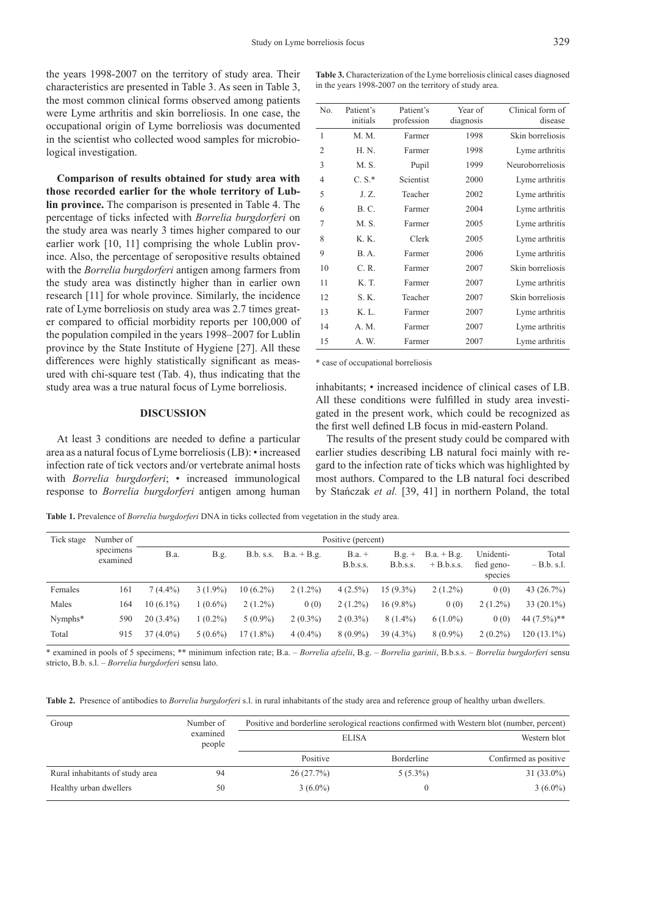the years 1998-2007 on the territory of study area. Their characteristics are presented in Table 3. As seen in Table 3, the most common clinical forms observed among patients were Lyme arthritis and skin borreliosis. In one case, the occupational origin of Lyme borreliosis was documented in the scientist who collected wood samples for microbiological investigation.

**Comparison of results obtained for study area with those recorded earlier for the whole territory of Lublin province.** The comparison is presented in Table 4. The percentage of ticks infected with *Borrelia burgdorferi* on the study area was nearly 3 times higher compared to our earlier work [10, 11] comprising the whole Lublin province. Also, the percentage of seropositive results obtained with the *Borrelia burgdorferi* antigen among farmers from the study area was distinctly higher than in earlier own research [11] for whole province. Similarly, the incidence rate of Lyme borreliosis on study area was 2.7 times greater compared to official morbidity reports per 100,000 of the population compiled in the years 1998–2007 for Lublin province by the State Institute of Hygiene [27]. All these differences were highly statistically significant as measured with chi-square test (Tab. 4), thus indicating that the study area was a true natural focus of Lyme borreliosis.

#### **DISCUSSION**

At least 3 conditions are needed to define a particular area as a natural focus of Lyme borreliosis (LB): • increased infection rate of tick vectors and/or vertebrate animal hosts with *Borrelia burgdorferi*; • increased immunological response to *Borrelia burgdorferi* antigen among human

| <b>Table 3.</b> Characterization of the Lyme borreliosis clinical cases diagnosed |
|-----------------------------------------------------------------------------------|
| in the years 1998-2007 on the territory of study area.                            |

| No.            | Patient's<br>initials   | Patient's<br>Year of<br>profession<br>diagnosis |      | Clinical form of<br>disease |
|----------------|-------------------------|-------------------------------------------------|------|-----------------------------|
| 1              | M. M.                   | Farmer                                          | 1998 | Skin borreliosis            |
| $\overline{2}$ | H. N.                   | Farmer                                          | 1998 | Lyme arthritis              |
| 3              | M. S.                   | Pupil                                           | 1999 | Neuroborreliosis            |
| $\overline{4}$ | $C.S.*$                 | Scientist                                       | 2000 | Lyme arthritis              |
| 5              | J.Z.                    | Teacher                                         | 2002 | Lyme arthritis              |
| 6              | <b>B.C.</b>             | Farmer                                          | 2004 | Lyme arthritis              |
| $\overline{7}$ | M. S.                   | Farmer                                          | 2005 | Lyme arthritis              |
| 8              | K. K.                   | Clerk                                           | 2005 | Lyme arthritis              |
| 9              | B.A.                    | Farmer                                          | 2006 | Lyme arthritis              |
| 10             | C. R.                   | Farmer                                          | 2007 | Skin borreliosis            |
| 11             | K. T.                   | Farmer                                          | 2007 | Lyme arthritis              |
| 12             | S. K.                   | Teacher                                         | 2007 | Skin borreliosis            |
| 13             | $K_{\perp}$ $L_{\perp}$ | Farmer                                          | 2007 | Lyme arthritis              |
| 14             | A. M.                   | Farmer                                          | 2007 | Lyme arthritis              |
| 15             | A. W.                   | Farmer                                          | 2007 | Lyme arthritis              |

\* case of occupational borreliosis

inhabitants; • increased incidence of clinical cases of LB. All these conditions were fulfilled in study area investigated in the present work, which could be recognized as the first well defined LB focus in mid-eastern Poland.

The results of the present study could be compared with earlier studies describing LB natural foci mainly with regard to the infection rate of ticks which was highlighted by most authors. Compared to the LB natural foci described by Stańczak *et al.* [39, 41] in northern Poland, the total

**Table 1.** Prevalence of *Borrelia burgdorferi* DNA in ticks collected from vegetation in the study area.

| Tick stage | Number of<br>specimens<br>examined | Positive (percent) |            |             |               |                      |                      |                               |                                    |                       |
|------------|------------------------------------|--------------------|------------|-------------|---------------|----------------------|----------------------|-------------------------------|------------------------------------|-----------------------|
|            |                                    | <b>B.a.</b>        | B.g.       | B.b. s.s.   | $B.a. + B.g.$ | $B.a. +$<br>B.b.s.s. | $B.g. +$<br>B.b.s.s. | $B.a. + B.g.$<br>$+ B.b.s.s.$ | Unidenti-<br>fied geno-<br>species | Total<br>$-B.b. s.l.$ |
| Females    | 161                                | $7(4.4\%)$         | $3(1.9\%)$ | $10(6.2\%)$ | $2(1.2\%)$    | $4(2.5\%)$           | 15 (9.3%)            | $2(1.2\%)$                    | 0(0)                               | 43 $(26.7\%)$         |
| Males      | 164                                | $10(6.1\%)$        | $1(0.6\%)$ | $2(1.2\%)$  | 0(0)          | $2(1.2\%)$           | 16 (9.8%)            | 0(0)                          | $2(1.2\%)$                         | $33(20.1\%)$          |
| Nymphs*    | 590                                | $20(3.4\%)$        | $1(0.2\%)$ | $5(0.9\%)$  | $2(0.3\%)$    | $2(0.3\%)$           | $8(1.4\%)$           | $6(1.0\%)$                    | 0(0)                               | 44 $(7.5\%)$ **       |
| Total      | 915                                | $37(4.0\%)$        | $5(0.6\%)$ | $17(1.8\%)$ | $4(0.4\%)$    | $8(0.9\%)$           | $39(4.3\%)$          | $8(0.9\%)$                    | $2(0.2\%)$                         | 120 (13.1%)           |

\* examined in pools of 5 specimens; \*\* minimum infection rate; B.a. – *Borrelia afzelii*, B.g. – *Borrelia garinii*, B.b.s.s. – *Borrelia burgdorferi* sensu stricto, B.b. s.l. – *Borrelia burgdorferi* sensu lato.

**Table 2.** Presence of antibodies to *Borrelia burgdorferi* s.l. in rural inhabitants of the study area and reference group of healthy urban dwellers.

| Group                           | Number of          | Positive and borderline serological reactions confirmed with Western blot (number, percent) |                              |                       |  |  |
|---------------------------------|--------------------|---------------------------------------------------------------------------------------------|------------------------------|-----------------------|--|--|
|                                 | examined<br>people |                                                                                             | Western blot<br><b>ELISA</b> |                       |  |  |
|                                 |                    | Positive                                                                                    | Borderline                   | Confirmed as positive |  |  |
| Rural inhabitants of study area | 94                 | 26(27.7%)                                                                                   | $5(5.3\%)$                   | $31(33.0\%)$          |  |  |
| Healthy urban dwellers          | 50                 | $3(6.0\%)$                                                                                  |                              | $3(6.0\%)$            |  |  |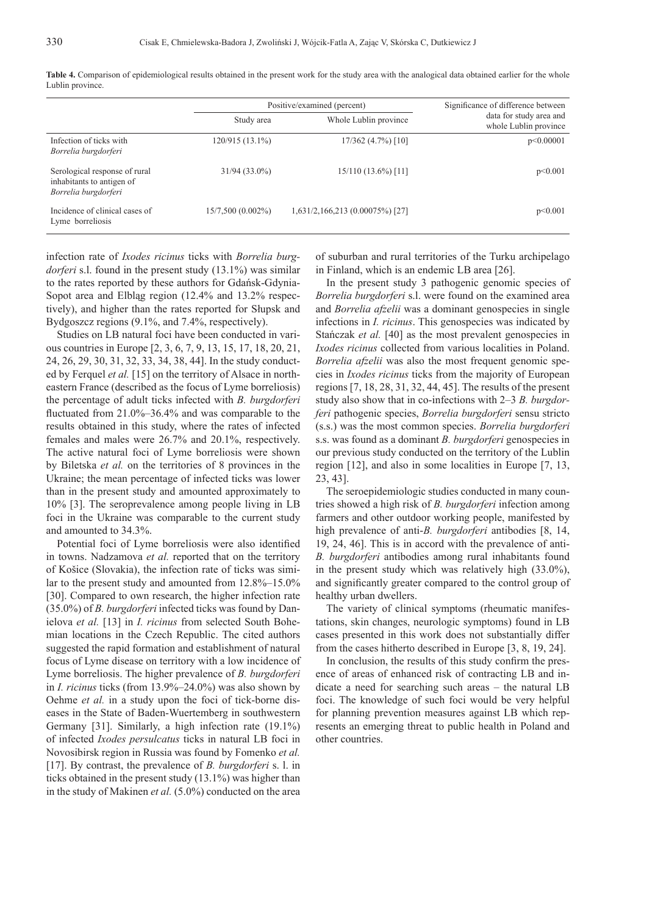|                                                                                    |                   | Positive/examined (percent)     | Significance of difference between               |  |
|------------------------------------------------------------------------------------|-------------------|---------------------------------|--------------------------------------------------|--|
|                                                                                    | Study area        | Whole Lublin province           | data for study area and<br>whole Lublin province |  |
| Infection of ticks with<br>Borrelia burgdorferi                                    | 120/915 (13.1%)   | 17/362 (4.7%) [10]              | p<0.00001                                        |  |
| Serological response of rural<br>inhabitants to antigen of<br>Borrelia burgdorferi | $31/94(33.0\%)$   | $15/110(13.6\%)$ [11]           | p<0.001                                          |  |
| Incidence of clinical cases of<br>Lyme borreliosis                                 | 15/7,500 (0.002%) | 1,631/2,166,213 (0.00075%) [27] | p<0.001                                          |  |

Table 4. Comparison of epidemiological results obtained in the present work for the study area with the analogical data obtained earlier for the whole Lublin province.

infection rate of *Ixodes ricinus* ticks with *Borrelia burgdorferi* s.l. found in the present study (13.1%) was similar to the rates reported by these authors for Gdańsk-Gdynia-Sopot area and Elbląg region (12.4% and 13.2% respectively), and higher than the rates reported for Słupsk and Bydgoszcz regions (9.1%, and 7.4%, respectively).

Studies on LB natural foci have been conducted in various countries in Europe [2, 3, 6, 7, 9, 13, 15, 17, 18, 20, 21, 24, 26, 29, 30, 31, 32, 33, 34, 38, 44]. In the study conducted by Ferquel *et al.* [15] on the territory of Alsace in northeastern France (described as the focus of Lyme borreliosis) the percentage of adult ticks infected with *B. burgdorferi* fluctuated from  $21.0\% - 36.4\%$  and was comparable to the results obtained in this study, where the rates of infected females and males were 26.7% and 20.1%, respectively. The active natural foci of Lyme borreliosis were shown by Biletska *et al.* on the territories of 8 provinces in the Ukraine; the mean percentage of infected ticks was lower than in the present study and amounted approximately to 10% [3]. The seroprevalence among people living in LB foci in the Ukraine was comparable to the current study and amounted to 34.3%.

Potential foci of Lyme borreliosis were also identified in towns. Nadzamova *et al.* reported that on the territory of Košice (Slovakia), the infection rate of ticks was similar to the present study and amounted from 12.8%–15.0% [30]. Compared to own research, the higher infection rate (35.0%) of *B. burgdorferi* infected ticks was found by Danielova *et al.* [13] in *I. ricinus* from selected South Bohemian locations in the Czech Republic. The cited authors suggested the rapid formation and establishment of natural focus of Lyme disease on territory with a low incidence of Lyme borreliosis. The higher prevalence of *B. burgdorferi* in *I. ricinus* ticks (from 13.9%–24.0%) was also shown by Oehme *et al.* in a study upon the foci of tick-borne diseases in the State of Baden-Wuertemberg in southwestern Germany [31]. Similarly, a high infection rate (19.1%) of infected *Ixodes persulcatus* ticks in natural LB foci in Novosibirsk region in Russia was found by Fomenko *et al.* [17]. By contrast, the prevalence of *B. burgdorferi* s. l. in ticks obtained in the present study (13.1%) was higher than in the study of Makinen *et al.* (5.0%) conducted on the area

of suburban and rural territories of the Turku archipelago in Finland, which is an endemic LB area [26].

In the present study 3 pathogenic genomic species of *Borrelia burgdorferi* s.l. were found on the examined area and *Borrelia afzelii* was a dominant genospecies in single infections in *I. ricinus*. This genospecies was indicated by Stańczak *et al.* [40] as the most prevalent genospecies in *Ixodes ricinus* collected from various localities in Poland. *Borrelia afzelii* was also the most frequent genomic species in *Ixodes ricinus* ticks from the majority of European regions [7, 18, 28, 31, 32, 44, 45]. The results of the present study also show that in co-infections with 2–3 *B. burgdorferi* pathogenic species, *Borrelia burgdorferi* sensu stricto (s.s.) was the most common species. *Borrelia burgdorferi* s.s. was found as a dominant *B. burgdorferi* genospecies in our previous study conducted on the territory of the Lublin region [12], and also in some localities in Europe [7, 13, 23, 43].

The seroepidemiologic studies conducted in many countries showed a high risk of *B. burgdorferi* infection among farmers and other outdoor working people, manifested by high prevalence of anti-*B. burgdorferi* antibodies [8, 14, 19, 24, 46]. This is in accord with the prevalence of anti-*B. burgdorferi* antibodies among rural inhabitants found in the present study which was relatively high (33.0%), and significantly greater compared to the control group of healthy urban dwellers.

The variety of clinical symptoms (rheumatic manifestations, skin changes, neurologic symptoms) found in LB cases presented in this work does not substantially differ from the cases hitherto described in Europe [3, 8, 19, 24].

In conclusion, the results of this study confirm the presence of areas of enhanced risk of contracting LB and indicate a need for searching such areas – the natural LB foci. The knowledge of such foci would be very helpful for planning prevention measures against LB which represents an emerging threat to public health in Poland and other countries.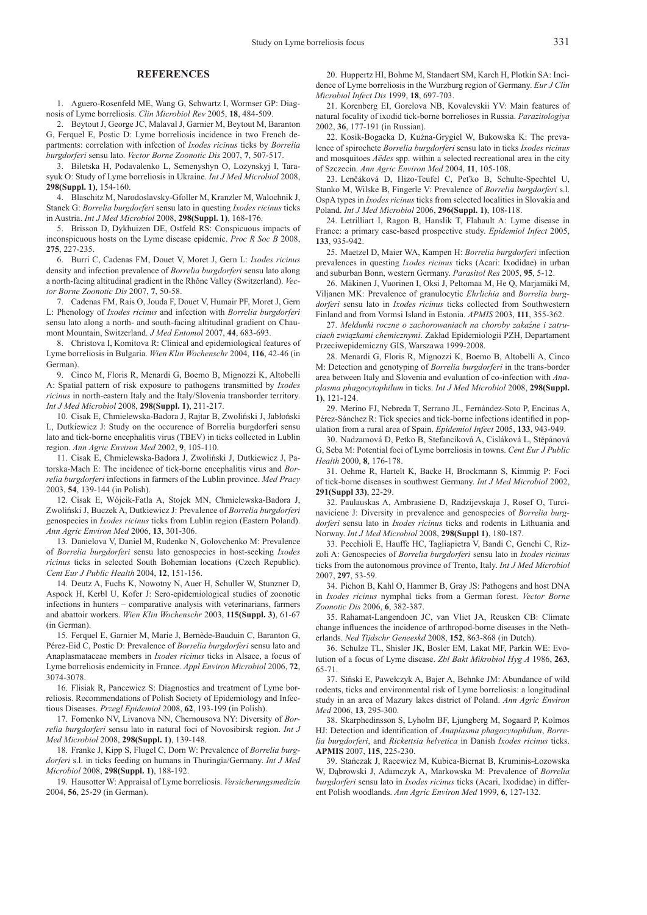#### **REFERENCES**

1. Aguero-Rosenfeld ME, Wang G, Schwartz I, Wormser GP: Diagnosis of Lyme borreliosis. *Clin Microbiol Rev* 2005, **18**, 484-509.

2. Beytout J, George JC, Malaval J, Garnier M, Beytout M, Baranton G, Ferquel E, Postic D: Lyme borreliosis incidence in two French departments: correlation with infection of *Ixodes ricinus* ticks by *Borrelia burgdorferi* sensu lato. *Vector Borne Zoonotic Dis* 2007, **7**, 507-517.

3. Biletska H, Podavalenko L, Semenyshyn O, Lozynskyj I, Tarasyuk O: Study of Lyme borreliosis in Ukraine. *Int J Med Microbiol* 2008, **298(Suppl. 1)**, 154-160.

4. Blaschitz M, Narodoslavsky-Gfoller M, Kranzler M, Walochnik J, Stanek G: *Borrelia burgdorferi* sensu lato in questing *Ixodes ricinus* ticks in Austria. *Int J Med Microbiol* 2008, **298(Suppl. 1)**, 168-176.

5. Brisson D, Dykhuizen DE, Ostfeld RS: Conspicuous impacts of inconspicuous hosts on the Lyme disease epidemic. *Proc R Soc B* 2008, **275**, 227-235.

6. Burri C, Cadenas FM, Douet V, Moret J, Gern L: *Ixodes ricinus*  density and infection prevalence of *Borrelia burgdorferi* sensu lato along a north-facing altitudinal gradient in the Rhône Valley (Switzerland). *Vector Borne Zoonotic Dis* 2007, **7**, 50-58.

7. Cadenas FM, Rais O, Jouda F, Douet V, Humair PF, Moret J, Gern L: Phenology of *Ixodes ricinus* and infection with *Borrelia burgdorferi* sensu lato along a north- and south-facing altitudinal gradient on Chaumont Mountain, Switzerland. *J Med Entomol* 2007, **44**, 683-693.

8. Christova I, Komitova R: Clinical and epidemiological features of Lyme borreliosis in Bulgaria. *Wien Klin Wochenschr* 2004, **116**, 42-46 (in German).

9. Cinco M, Floris R, Menardi G, Boemo B, Mignozzi K, Altobelli A: Spatial pattern of risk exposure to pathogens transmitted by *Ixodes ricinus* in north-eastern Italy and the Italy/Slovenia transborder territory. *Int J Med Microbiol* 2008, **298(Suppl. 1)**, 211-217.

10. Cisak E, Chmielewska-Badora J, Rajtar B, Zwoliński J, Jabłoński L, Dutkiewicz J: Study on the occurence of Borrelia burgdorferi sensu lato and tick-borne encephalitis virus (TBEV) in ticks collected in Lublin region. *Ann Agric Environ Med* 2002, **9**, 105-110.

11. Cisak E, Chmielewska-Badora J, Zwoliński J, Dutkiewicz J, Patorska-Mach E: The incidence of tick-borne encephalitis virus and *Borrelia burgdorferi* infections in farmers of the Lublin province. *Med Pracy* 2003, **54**, 139-144 (in Polish).

12. Cisak E, Wójcik-Fatla A, Stojek MN, Chmielewska-Badora J, Zwoliński J, Buczek A, Dutkiewicz J: Prevalence of *Borrelia burgdorferi* genospecies in *Ixodes ricinus* ticks from Lublin region (Eastern Poland). *Ann Agric Environ Med* 2006, **13**, 301-306.

13. Danielova V, Daniel M, Rudenko N, Golovchenko M: Prevalence of *Borrelia burgdorferi* sensu lato genospecies in host-seeking *Ixodes ricinus* ticks in selected South Bohemian locations (Czech Republic). *Cent Eur J Public Health* 2004, **12**, 151-156.

14. Deutz A, Fuchs K, Nowotny N, Auer H, Schuller W, Stunzner D, Aspock H, Kerbl U, Kofer J: Sero-epidemiological studies of zoonotic infections in hunters – comparative analysis with veterinarians, farmers and abattoir workers. *Wien Klin Wochenschr* 2003, **115(Suppl. 3)**, 61-67 (in German).

15. Ferquel E, Garnier M, Marie J, Bernède-Bauduin C, Baranton G, Pérez-Eid C, Postic D: Prevalence of *Borrelia burgdorferi* sensu lato and Anaplasmataceae members in *Ixodes ricinus* ticks in Alsace, a focus of Lyme borreliosis endemicity in France. *Appl Environ Microbiol* 2006, **72**, 3074-3078.

16. Flisiak R, Pancewicz S: Diagnostics and treatment of Lyme borreliosis. Recommendations of Polish Society of Epidemiology and Infectious Diseases. *Przegl Epidemiol* 2008, **62**, 193-199 (in Polish).

17. Fomenko NV, Livanova NN, Chernousova NY: Diversity of *Borrelia burgdorferi* sensu lato in natural foci of Novosibirsk region. *Int J Med Microbiol* 2008, **298(Suppl. 1)**, 139-148.

18. Franke J, Kipp S, Flugel C, Dorn W: Prevalence of *Borrelia burgdorferi* s.l. in ticks feeding on humans in Thuringia/Germany. *Int J Med Microbiol* 2008, **298(Suppl. 1)**, 188-192.

19. Hausotter W: Appraisal of Lyme borreliosis. *Versicherungsmedizin* 2004, **56**, 25-29 (in German).

20. Huppertz HI, Bohme M, Standaert SM, Karch H, Plotkin SA: Incidence of Lyme borreliosis in the Wurzburg region of Germany. *Eur J Clin Microbiol Infect Dis* 1999, **18**, 697-703.

21. Korenberg EI, Gorelova NB, Kovalevskii YV: Main features of natural focality of ixodid tick-borne borrelioses in Russia. *Parazitologiya* 2002, **36**, 177-191 (in Russian).

22. Kosik-Bogacka D, Kuźna-Grygiel W, Bukowska K: The prevalence of spirochete *Borrelia burgdorferi* sensu lato in ticks *Ixodes ricinus* and mosquitoes *Aëdes* spp. within a selected recreational area in the city of Szczecin. *Ann Agric Environ Med* 2004, **11**, 105-108.

23. Lenčáková D, Hizo-Teufel C, Peťko B, Schulte-Spechtel U, Stanko M, Wilske B, Fingerle V: Prevalence of *Borrelia burgdorferi* s.l. OspA types in *Ixodes ricinus* ticks from selected localities in Slovakia and Poland. *Int J Med Microbiol* 2006, **296(Suppl. 1)**, 108-118.

24. Letrilliart I, Ragon B, Hanslik T, Flahault A: Lyme disease in France: a primary case-based prospective study. *Epidemiol Infect* 2005, **133**, 935-942.

25. Maetzel D, Maier WA, Kampen H: *Borrelia burgdorferi* infection prevalences in questing *Ixodes ricinus* ticks (Acari: Ixodidae) in urban and suburban Bonn, western Germany. *Parasitol Res* 2005, **95**, 5-12.

26. Mäkinen J, Vuorinen I, Oksi J, Peltomaa M, He Q, Marjamäki M, Viljanen MK: Prevalence of granulocytic *Ehrlichia* and *Borrelia burgdorferi* sensu lato in *Ixodes ricinus* ticks collected from Southwestern Finland and from Vormsi Island in Estonia. *APMIS* 2003, **111**, 355-362.

27. *Meldunki roczne o zachorowaniach na choroby zakaźne i zatruciach związkami chemicznymi*. Zakład Epidemiologii PZH, Departament Przeciwepidemiczny GIS, Warszawa 1999-2008.

28. Menardi G, Floris R, Mignozzi K, Boemo B, Altobelli A, Cinco M: Detection and genotyping of *Borrelia burgdorferi* in the trans-border area between Italy and Slovenia and evaluation of co-infection with *Anaplasma phagocytophilum* in ticks. *Int J Med Microbiol* 2008, **298(Suppl. 1)**, 121-124.

29. Merino FJ, Nebreda T, Serrano JL, Fernández-Soto P, Encinas A, Pérez-Sánchez R: Tick species and tick-borne infections identified in population from a rural area of Spain. *Epidemiol Infect* 2005, **133**, 943-949.

30. Nadzamová D, Petko B, Stefancíková A, Cisláková L, Stĕpánová G, Seba M: Potential foci of Lyme borreliosis in towns. *Cent Eur J Public Health* 2000, **8**, 176-178.

31. Oehme R, Hartelt K, Backe H, Brockmann S, Kimmig P: Foci of tick-borne diseases in southwest Germany. *Int J Med Microbiol* 2002, **291(Suppl 33)**, 22-29.

32. Paulauskas A, Ambrasiene D, Radzijevskaja J, Rosef O, Turcinaviciene J: Diversity in prevalence and genospecies of *Borrelia burgdorferi* sensu lato in *Ixodes ricinus* ticks and rodents in Lithuania and Norway. *Int J Med Microbiol* 2008, **298(Suppl 1)**, 180-187.

33. Pecchioli E, Hauffe HC, Tagliapietra V, Bandi C, Genchi C, Rizzoli A: Genospecies of *Borrelia burgdorferi* sensu lato in *Ixodes ricinus* ticks from the autonomous province of Trento, Italy. *Int J Med Microbiol* 2007, **297**, 53-59.

34. Pichon B, Kahl O, Hammer B, Gray JS: Pathogens and host DNA in *Ixodes ricinus* nymphal ticks from a German forest. *Vector Borne Zoonotic Dis* 2006, **6**, 382-387.

35. Rahamat-Langendoen JC, van Vliet JA, Reusken CB: Climate change influences the incidence of arthropod-borne diseases in the Netherlands. *Ned Tijdschr Geneeskd* 2008, **152**, 863-868 (in Dutch).

36. Schulze TL, Shisler JK, Bosler EM, Lakat MF, Parkin WE: Evolution of a focus of Lyme disease. *Zbl Bakt Mikrobiol Hyg A* 1986, **263**, 65-71.

37. Siński E, Pawełczyk A, Bajer A, Behnke JM: Abundance of wild rodents, ticks and environmental risk of Lyme borreliosis: a longitudinal study in an area of Mazury lakes district of Poland. *Ann Agric Environ Med* 2006, **13**, 295-300.

38. Skarphedinsson S, Lyholm BF, Ljungberg M, Sogaard P, Kolmos HJ: Detection and identification of *Anaplasma phagocytophilum*, *Borrelia burgdorferi*, and *Rickettsia helvetica* in Danish *Ixodes ricinus* ticks. **APMIS** 2007, **115**, 225-230.

39. Stańczak J, Racewicz M, Kubica-Biernat B, Kruminis-Łozowska W, Dąbrowski J, Adamczyk A, Markowska M: Prevalence of *Borrelia burgdorferi* sensu lato in *Ixodes ricinus* ticks (Acari, Ixodidae) in different Polish woodlands. *Ann Agric Environ Med* 1999, **6**, 127-132.